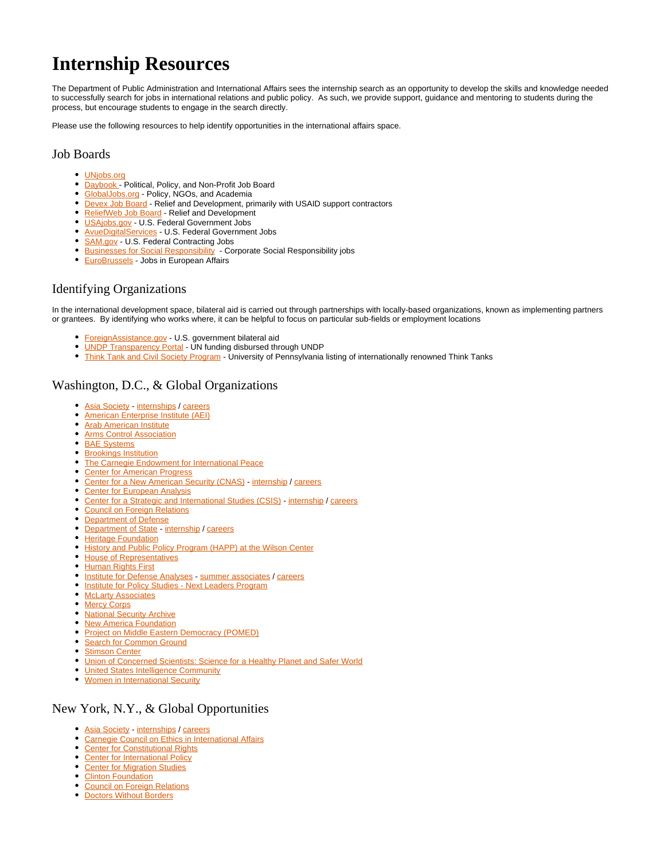# **Internship Resources**

The Department of Public Administration and International Affairs sees the internship search as an opportunity to develop the skills and knowledge needed to successfully search for jobs in international relations and public policy. As such, we provide support, guidance and mentoring to students during the process, but encourage students to engage in the search directly.

Please use the following resources to help identify opportunities in the international affairs space.

# Job Boards

- [UNjobs.org](https://careers.un.org/lbw/Home.aspx)
- [Daybook -](https://www.daybook.com/listings) Political, Policy, and Non-Profit Job Board
- $\bullet$ [GlobalJobs.org](https://globaljobs.org/) - Policy, NGOs, and Academia
- **[Devex Job Board](https://www.devex.com/jobs/search/?sorting%5Bname%5D=Relevance&sorting%5Border%5D=desc)  Relief and Development, primarily with USAID support contractors**
- [ReliefWeb Job Board](https://reliefweb.int/jobs)  Relief and Development
- **[USAjobs.gov](https://www.usajobs.gov/) U.S. Federal Government Jobs**
- **AvueDigitalServices** U.S. Federal Government Jobs
- [SAM.gov](https://sam.gov/content/opportunities) U.S. Federal Contracting Jobs
- **[Businesses for Social Responsibility](https://www.bsr.org/en/careers/job-openings)** Corporate Social Responsibility jobs
- [EuroBrussels](https://www.eurobrussels.com/)  Jobs in European Affairs

# Identifying Organizations

In the international development space, bilateral aid is carried out through partnerships with locally-based organizations, known as implementing partners or grantees. By identifying who works where, it can be helpful to focus on particular sub-fields or employment locations

- [ForeignAssistance.gov](https://www.foreignassistance.gov/data)  U.S. government bilateral aid
- [UNDP Transparency Portal](https://open.undp.org/)  UN funding disbursed through UNDP
- $\bullet$ [Think Tank and Civil Society Program](https://repository.upenn.edu/ttcsp/) - University of Pennsylvania listing of internationally renowned Think Tanks

# Washington, D.C., & Global Organizations

- [Asia Society](https://asiasociety.org/) [internships](https://asiasociety.org/about/interns-and-volunteers) / [careers](https://asiasociety.org/about/careers)
- $\bullet$ [American Enterprise Institute \(AEI\)](https://www.aei.org/jobs/)
- [Arab American Institute](http://www.aaiusa.org/)
- **[Arms Control Association](https://www.armscontrol.org/employment)**
- **[BAE Systems](https://jobs.baesystems.com/global/en)**
- **[Brookings Institution](https://www.brookings.edu/careers/)**
- [The Carnegie Endowment for International Peace](https://carnegieendowment.org/about/employment)
- [Center for American Progress](https://www.americanprogress.org/about/job-listings/)
- [Center for a New American Security \(CNAS\)](https://www.cnas.org/) - [internship](https://www.cnas.org/careers/internships) / [careers](https://www.cnas.org/careers)
- [Center for European Analysis](https://www.cepa.org/career-opportunities)
- [Center for a Strategic and International Studies \(CSIS\)](https://www.csis.org/)  [internship](https://www.csis.org/programs/about-us/careers-and-internships/internships) / [careers](https://www.csis.org/programs/about-us/careers-and-internships)
- [Council on Foreign Relations](https://www.cfr.org/career-opportunities/open-positions)
- [Department of Defense](http://godefense.cpms.osd.mil/employment.aspx)
- [Department of State](https://careers.state.gov/) [internship](https://careers.state.gov/intern/) / [careers](https://www.state.gov/careers/)
- $\bullet$ **[Heritage Foundation](https://www.heritage.org/about-heritage/careers)**
- $\bullet$ [History and Public Policy Program \(HAPP\) at the Wilson Center](https://www.wilsoncenter.org/internships-the-history-and-public-policy-program)
- [House of Representatives](https://www.house.gov/employment)
- [Human Rights First](https://www.humanrightsfirst.org/careers)
- **[Institute for Defense Analyses](https://www.ida.org/) - [summer associates](https://www.ida.org/CareersAtIDA/SummerAssociates) / [careers](https://chk.tbe.taleo.net/chk01/ats/careers/v2/jobSearch?act=redirectCwsV2&cws=39&org=INSTITUTEDA)**
- **[Institute for Policy Studies Next Leaders Program](https://ips-dc.org/next-leaders-program/)**
- **[McLarty Associates](http://maglobal.com/contact/careers/)**
- [Mercy Corps](http://jobs.jobvite.com/mercycorps?t=Intern)
- [National Security Archive](https://nsarchive.gwu.edu/jobs-internships)
- [New America Foundation](https://www.newamerica.org/jobs/)
- [Project on Middle Eastern Democracy \(POMED\)](https://pomed.org/about/#career-opportunities)
- [Search for Common Ground](https://www.stimson.org/careers/)
- **[Stimson Center](https://www.stimson.org/careers/)**
- **[Union of Concerned Scientists: Science for a Healthy Planet and Safer World](https://www.ucsusa.org/about/jobs-ucs#.WtfCSMgh0o-)**
- **[United States Intelligence Community](https://www.wiisglobal.org/about/opportunities/)**
- [Women in International Security](https://www.wiisglobal.org/about/opportunities/)

# New York, N.Y., & Global Opportunities

- [Asia Society](https://asiasociety.org/) [internships](https://asiasociety.org/about/interns-and-volunteers) / [careers](https://asiasociety.org/about/careers)
- $\bullet$ [Carnegie Council on Ethics in International Affairs](https://www.carnegiecouncil.org/about/jobs)
- $\bullet$ **[Center for Constitutional Rights](https://ccrjustice.org/home/get-involved/jobs)**
- [Center for International Policy](https://www.internationalpolicy.org/internships)
- [Center for Migration Studies](http://cmsny.org/about/employment-internships/)
- [Clinton Foundation](https://www.clintonfoundation.org/careers)
- [Council on Foreign Relations](https://www.cfr.org/career-opportunities/open-positions)
- [Doctors Without Borders](https://www.doctorswithoutborders.org/work-office)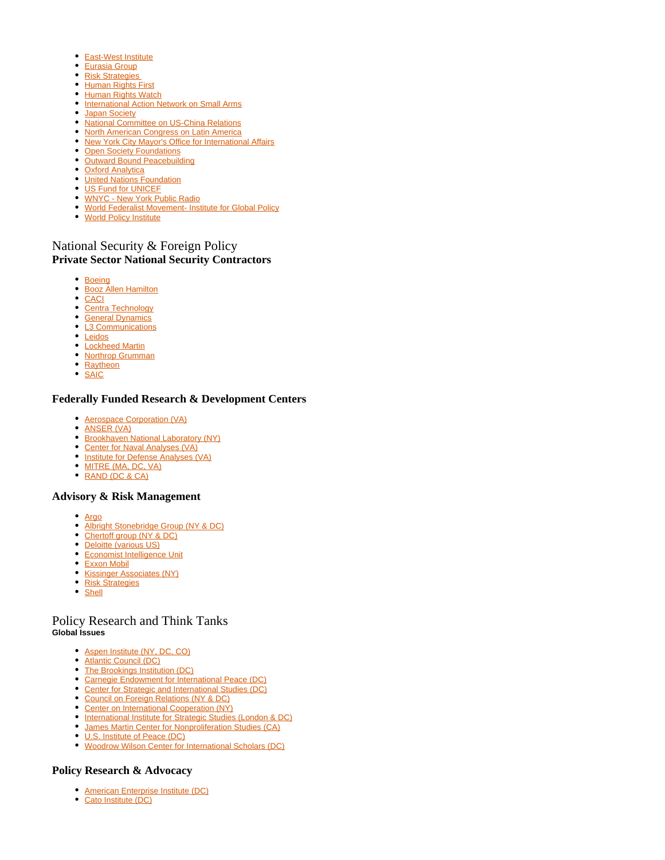- [East-West Institute](https://www.eastwest.ngo/careers)
- [Eurasia Group](https://www.eurasiagroup.net/careers)
- Risk Strategies
- **[Human Rights First](https://www.humanrightsfirst.org/careers)**
- [Human Rights Watch](https://careers.hrw.org/)
- [International Action Network on Small Arms](https://www.iansa.org/)
- **[Japan Society](https://www.japansociety.org/page/about/career_opportunities)**
- [National Committee on US-China Relations](https://www.ncuscr.org/about/employment)
- [North American Congress on Latin America](https://nacla.org/employmentinternships) [New York City Mayor's Office for International Affairs](http://www1.nyc.gov/site/international/about/job-opportunities.page)
- **[Open Society Foundations](https://www.opensocietyfoundations.org/jobs)**
- [Outward Bound Peacebuilding](https://outwardboundpeace.org/internships/)
- [Oxford Analytica](https://www.oxan.com/About/Careers/)
- [United Nations Foundation](https://unfoundation.org/careers/)
- [US Fund for UNICEF](https://www.unicefusa.org/about/people/unicef-jobs-and-careers)
- [WNYC New York Public Radio](https://www.wnyc.org/internships-new-york-public-radio/)
- [World Federalist Movement- Institute for Global Policy](https://www.wfm-igp.org/)
- [World Policy Institute](http://worldpolicy.org/about_us/employment-opportunities/)

# National Security & Foreign Policy **Private Sector National Security Contractors**

- [Boeing](https://jobs.boeing.com/location/united-states-jobs/185/6252001/2?gclid=EAIaIQobChMI0MuQm8HC5gIVDisMCh3hYw3bEAAYASAAEgID6_D_BwE)
- [Booz Allen Hamilton](http://www.boozallen.com/careers)
- [CACI](http://careers.caci.com/)
- [Centra Technology](https://www.centratechnology.com/careers/)
- **[General Dynamics](http://www.generaldynamics.com/careers)**
- **[L3 Communications](http://www.l3t.com/careers)**
- [Leidos](https://www.leidos.com/careers)
- [Lockheed Martin](https://www.lockheedmartinjobs.com/)
- [Northrop Grumman](http://www.northropgrumman.com/Careers/Pages/default.aspx)
- [Raytheon](https://jobs.raytheon.com/)
- [SAIC](https://jobs.saic.com/)

#### **Federally Funded Research & Development Centers**

- [Aerospace Corporation \(VA\)](https://careers.aerospace.org/)
- [ANSER \(VA\)](http://www.anser.org/careers/)
- **[Brookhaven National Laboratory \(NY\)](https://jobs.bnl.gov/)**
- [Center for Naval Analyses \(VA\)](https://www.cna.org/careers/)
- [Institute for Defense Analyses \(VA\)](https://www.ida.org/CareersAtIDA.aspx)
- [MITRE \(MA, DC, VA\)](https://www.mitre.org/careers/job-openings)
- [RAND \(DC & CA\)](http://www.rand.org/jobs.html)

#### **Advisory & Risk Management**

- [Argo](https://www.argolimited.com/careers/)
- [Albright Stonebridge Group \(NY & DC\)](http://www.albrightstonebridge.com/career-opportunities-asg)
- [Chertoff group \(NY & DC\)](https://www.chertoffgroup.com/careers)
- [Deloitte \(various US\)](https://www2.deloitte.com/us/en/pages/careers/topics/careers.html)
- **[Economist Intelligence Unit](https://globalcareers-economist.icims.com/jobs/search?ss=1)**
- [Exxon Mobil](https://corporate.exxonmobil.com/Company/Careers)
- **[Kissinger Associates \(NY\)](https://kissingerassoc.com/careers/)**
- [Risk Strategies](https://www.risk-strategies.com/careers)
- [Shell](https://www.shell.com/careers.html)

# Policy Research and Think Tanks **Global Issues**

- [Aspen Institute \(NY, DC, CO\)](https://www.aspeninstitute.org/careers/)
- [Atlantic Council \(DC\)](http://www.atlanticcouncil.org/careers/employment-internships)
- [The Brookings Institution \(DC\)](https://www.brookings.edu/careers/)
- [Carnegie Endowment for International Peace \(DC\)](https://carnegieendowment.org/about/employment)
- [Center for Strategic and International Studies \(DC\)](https://www.csis.org/programs/about-us/careers-and-internships)
- [Council on Foreign Relations \(NY & DC\)](https://www.cfr.org/career-opportunities)
- [Center on International Cooperation \(NY\)](https://cic.nyu.edu/about/employment)
- **[International Institute for Strategic Studies \(London & DC\)](http://www.iiss.org/en/about-s-us/careers)**
- [James Martin Center for Nonproliferation Studies \(CA\)](http://www.nonproliferation.org/nonproliferation-jobs/)
- [U.S. Institute of Peace \(DC\)](http://www.usip.org/jobs)
- [Woodrow Wilson Center for International Scholars \(DC\)](https://www.wilsoncenter.org/job-openings-the-wilson-center)

# **Policy Research & Advocacy**

- [American Enterprise Institute \(DC\)](https://www.aei.org/jobs/)
- [Cato Institute \(DC\)](https://www.cato.org/intern/)